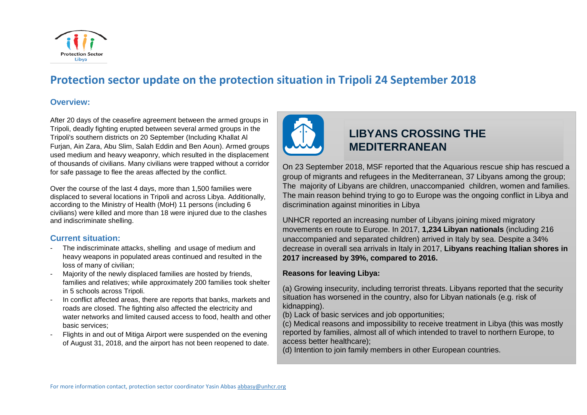

# **Protection sector update on the protection situation in Tripoli 24 September 2018**

#### **Overview:**

After 20 days of the ceasefire agreement between the armed groups in Tripoli, deadly fighting erupted between several armed groups in the Tripoli's southern districts on 20 September (Including Khallat Al Furjan, Ain Zara, Abu Slim, Salah Eddin and Ben Aoun). Armed groups used medium and heavy weaponry, which resulted in the displacement of thousands of civilians. Many civilians were trapped without a corridor for safe passage to flee the areas affected by the conflict.

Over the course of the last 4 days, more than 1,500 families were displaced to several locations in Tripoli and across Libya. Additionally, according to the Ministry of Health (MoH) 11 persons (including 6 civilians) were killed and more than 18 were injured due to the clashes and indiscriminate shelling.

### **Current situation:**

- The indiscriminate attacks, shelling and usage of medium and heavy weapons in populated areas continued and resulted in the loss of many of civilian;
- Majority of the newly displaced families are hosted by friends, families and relatives; while approximately 200 families took shelter in 5 schools across Tripoli.
- In conflict affected areas, there are reports that banks, markets and roads are closed. The fighting also affected the electricity and water networks and limited caused access to food, health and other basic services;
- Flights in and out of Mitiga Airport were suspended on the evening of August 31, 2018, and the airport has not been reopened to date.



# **LIBYANS CROSSING THE MEDITERRANEAN**

On 23 September 2018, MSF reported that the Aquarious rescue ship has rescued a group of migrants and refugees in the Mediterranean, 37 Libyans among the group; The majority of Libyans are children, unaccompanied children, women and families. The main reason behind trying to go to Europe was the ongoing conflict in Libya and discrimination against minorities in Libya

UNHCR reported an increasing number of Libyans joining mixed migratory movements en route to Europe. In 2017, **1,234 Libyan nationals** (including 216 unaccompanied and separated children) arrived in Italy by sea. Despite a 34% decrease in overall sea arrivals in Italy in 2017, **Libyans reaching Italian shores in 2017 increased by 39%, compared to 2016.**

#### **Reasons for leaving Libya:**

(a) Growing insecurity, including terrorist threats. Libyans reported that the security situation has worsened in the country, also for Libyan nationals (e.g. risk of kidnapping).

(b) Lack of basic services and job opportunities;

(c) Medical reasons and impossibility to receive treatment in Libya (this was mostly reported by families, almost all of which intended to travel to northern Europe, to access better healthcare);

(d) Intention to join family members in other European countries.